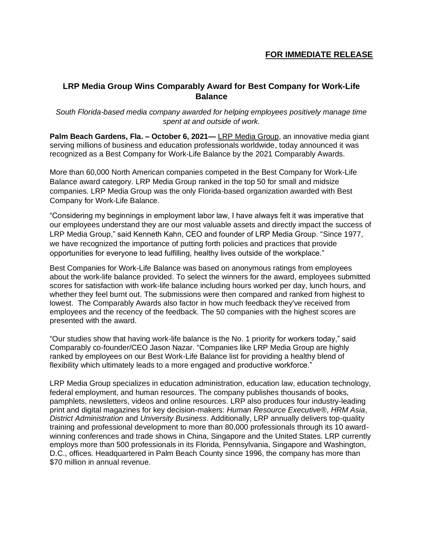## **FOR IMMEDIATE RELEASE**

# **LRP Media Group Wins Comparably Award for Best Company for Work-Life Balance**

### *South Florida-based media company awarded for helping employees positively manage time spent at and outside of work.*

**Palm Beach Gardens, Fla. – October 6, 2021—** [LRP Media Group,](http://www.lrp.com/) an innovative media giant serving millions of business and education professionals worldwide, today announced it was recognized as a Best Company for Work-Life Balance by the 2021 Comparably Awards.

More than 60,000 North American companies competed in the Best Company for Work-Life Balance award category. LRP Media Group ranked in the top 50 for small and midsize companies. LRP Media Group was the only Florida-based organization awarded with Best Company for Work-Life Balance.

"Considering my beginnings in employment labor law, I have always felt it was imperative that our employees understand they are our most valuable assets and directly impact the success of LRP Media Group," said Kenneth Kahn, CEO and founder of LRP Media Group. "Since 1977, we have recognized the importance of putting forth policies and practices that provide opportunities for everyone to lead fulfilling, healthy lives outside of the workplace."

Best Companies for Work-Life Balance was based on anonymous ratings from employees about the work-life balance provided. To select the winners for the award, employees submitted scores for satisfaction with work-life balance including hours worked per day, lunch hours, and whether they feel burnt out. The submissions were then compared and ranked from highest to lowest. The Comparably Awards also factor in how much feedback they've received from employees and the recency of the feedback. The 50 companies with the highest scores are presented with the award.

"Our studies show that having work-life balance is the No. 1 priority for workers today," said Comparably co-founder/CEO Jason Nazar. "Companies like LRP Media Group are highly ranked by employees on our Best Work-Life Balance list for providing a healthy blend of flexibility which ultimately leads to a more engaged and productive workforce."

LRP Media Group specializes in education administration, education law, education technology, federal employment, and human resources. The company publishes thousands of books, pamphlets, newsletters, videos and online resources. LRP also produces four industry-leading print and digital magazines for key decision-makers: *Human Resource Executive*®, *HRM Asia*, *District Administration* and *University Business*. Additionally, LRP annually delivers top-quality training and professional development to more than 80,000 professionals through its 10 awardwinning conferences and trade shows in China, Singapore and the United States. LRP currently employs more than 500 professionals in its Florida, Pennsylvania, Singapore and Washington, D.C., offices. Headquartered in Palm Beach County since 1996, the company has more than \$70 million in annual revenue.